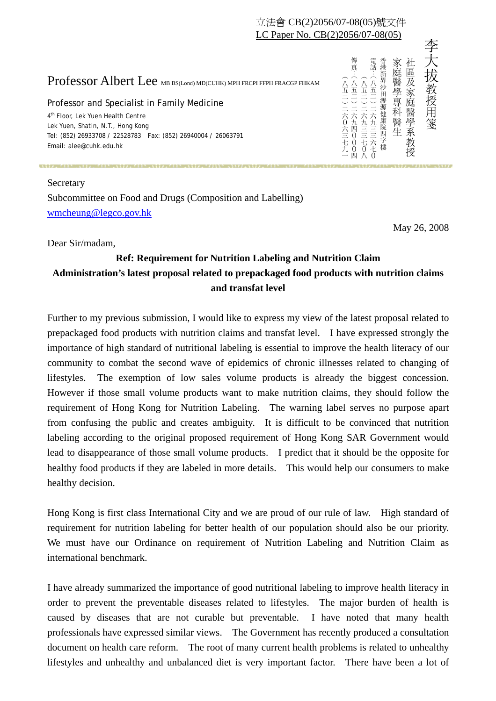## 立法會 CB(2)2056/07-08(05)號文件 LC Paper No. CB(2)2056/07-08(05)

## Professor Albert Lee MB BS(Lond) MD(CUHK) MPH FRCPI FFPH FRACGP FHKAM

Professor and Specialist in Family Medicine 4<sup>th</sup> Floor, Lek Yuen Health Centre Lek Yuen, Shatin, N.T., Hong Kong

Tel: (852) 26933708 / 22528783 Fax: (852) 26940004 / 26063791 Email: alee@cuhk.edu.hk

## Secretary

Subcommittee on Food and Drugs (Composition and Labelling) wmcheung@legco.gov.hk

Dear Sir/madam,

## **Ref: Requirement for Nutrition Labeling and Nutrition Claim Administration's latest proposal related to prepackaged food products with nutrition claims and transfat level**

Further to my previous submission, I would like to express my view of the latest proposal related to prepackaged food products with nutrition claims and transfat level. I have expressed strongly the importance of high standard of nutritional labeling is essential to improve the health literacy of our community to combat the second wave of epidemics of chronic illnesses related to changing of lifestyles. The exemption of low sales volume products is already the biggest concession. However if those small volume products want to make nutrition claims, they should follow the requirement of Hong Kong for Nutrition Labeling. The warning label serves no purpose apart from confusing the public and creates ambiguity. It is difficult to be convinced that nutrition labeling according to the original proposed requirement of Hong Kong SAR Government would lead to disappearance of those small volume products. I predict that it should be the opposite for healthy food products if they are labeled in more details. This would help our consumers to make healthy decision. **Professor Albert Lee** as a antonion contour successions and  $\frac{2}{3}$ ,  $\frac{2}{3}$ ,  $\frac{2}{3}$ ,  $\frac{2}{3}$ ,  $\frac{2}{3}$ ,  $\frac{2}{3}$ ,  $\frac{2}{3}$ ,  $\frac{2}{3}$ ,  $\frac{2}{3}$ ,  $\frac{2}{3}$ ,  $\frac{2}{3}$ ,  $\frac{2}{3}$ ,  $\frac{2}{3}$ ,  $\frac{2}{3}$ ,  $\frac{2}{$ 

Hong Kong is first class International City and we are proud of our rule of law. High standard of requirement for nutrition labeling for better health of our population should also be our priority. We must have our Ordinance on requirement of Nutrition Labeling and Nutrition Claim as international benchmark.

I have already summarized the importance of good nutritional labeling to improve health literacy in order to prevent the preventable diseases related to lifestyles. The major burden of health is caused by diseases that are not curable but preventable. I have noted that many health professionals have expressed similar views. The Government has recently produced a consultation document on health care reform. The root of many current health problems is related to unhealthy

May 26, 2008